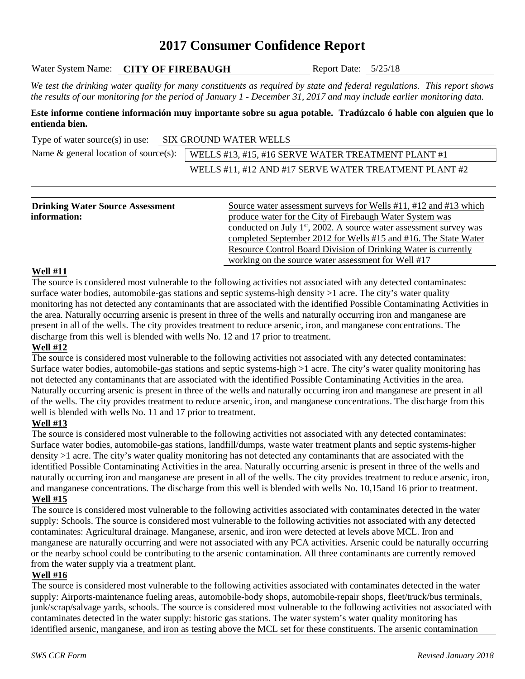# **2017 Consumer Confidence Report**

| Water System Name: | <b>CITY OF FIREBAUGH</b> |  |
|--------------------|--------------------------|--|
|--------------------|--------------------------|--|

Report Date:  $5/25/18$ 

*We test the drinking water quality for many constituents as required by state and federal regulations. This report shows the results of our monitoring for the period of January 1 - December 31, 2017 and may include earlier monitoring data.*

#### **Este informe contiene información muy importante sobre su agua potable. Tradúzcalo ó hable con alguien que lo entienda bien.**

| Type of water source(s) in use:          | SIX GROUND WATER WELLS |                                                       |  |  |  |
|------------------------------------------|------------------------|-------------------------------------------------------|--|--|--|
| Name $\&$ general location of source(s): |                        | WELLS #13, #15, #16 SERVE WATER TREATMENT PLANT #1    |  |  |  |
|                                          |                        | WELLS #11, #12 AND #17 SERVE WATER TREATMENT PLANT #2 |  |  |  |

|  |  | <u> Andreas Andreas Andreas Andreas Andreas Andreas Andreas Andreas Andreas Andreas Andreas Andreas Andreas Andreas</u> |
|--|--|-------------------------------------------------------------------------------------------------------------------------|
|  |  |                                                                                                                         |

| <b>Drinking Water Source Assessment</b> | Source water assessment surveys for Wells #11, #12 and #13 which      |
|-----------------------------------------|-----------------------------------------------------------------------|
| information:                            | produce water for the City of Firebaugh Water System was              |
|                                         | conducted on July $1st$ , 2002. A source water assessment survey was  |
|                                         | completed September 2012 for Wells #15 and #16. The State Water       |
|                                         | <b>Resource Control Board Division of Drinking Water is currently</b> |
|                                         | working on the source water assessment for Well #17                   |

## **Well #11**

The source is considered most vulnerable to the following activities not associated with any detected contaminates: surface water bodies, automobile-gas stations and septic systems-high density >1 acre. The city's water quality monitoring has not detected any contaminants that are associated with the identified Possible Contaminating Activities in the area. Naturally occurring arsenic is present in three of the wells and naturally occurring iron and manganese are present in all of the wells. The city provides treatment to reduce arsenic, iron, and manganese concentrations. The discharge from this well is blended with wells No. 12 and 17 prior to treatment.

## **Well #12**

The source is considered most vulnerable to the following activities not associated with any detected contaminates: Surface water bodies, automobile-gas stations and septic systems-high >1 acre. The city's water quality monitoring has not detected any contaminants that are associated with the identified Possible Contaminating Activities in the area. Naturally occurring arsenic is present in three of the wells and naturally occurring iron and manganese are present in all of the wells. The city provides treatment to reduce arsenic, iron, and manganese concentrations. The discharge from this well is blended with wells No. 11 and 17 prior to treatment.

## **Well #13**

The source is considered most vulnerable to the following activities not associated with any detected contaminates: Surface water bodies, automobile-gas stations, landfill/dumps, waste water treatment plants and septic systems-higher density >1 acre. The city's water quality monitoring has not detected any contaminants that are associated with the identified Possible Contaminating Activities in the area. Naturally occurring arsenic is present in three of the wells and naturally occurring iron and manganese are present in all of the wells. The city provides treatment to reduce arsenic, iron, and manganese concentrations. The discharge from this well is blended with wells No. 10,15and 16 prior to treatment. **Well #15**

The source is considered most vulnerable to the following activities associated with contaminates detected in the water supply: Schools. The source is considered most vulnerable to the following activities not associated with any detected contaminates: Agricultural drainage. Manganese, arsenic, and iron were detected at levels above MCL. Iron and manganese are naturally occurring and were not associated with any PCA activities. Arsenic could be naturally occurring or the nearby school could be contributing to the arsenic contamination. All three contaminants are currently removed from the water supply via a treatment plant.

#### **Well #16**

The source is considered most vulnerable to the following activities associated with contaminates detected in the water supply: Airports-maintenance fueling areas, automobile-body shops, automobile-repair shops, fleet/truck/bus terminals, junk/scrap/salvage yards, schools. The source is considered most vulnerable to the following activities not associated with contaminates detected in the water supply: historic gas stations. The water system's water quality monitoring has identified arsenic, manganese, and iron as testing above the MCL set for these constituents. The arsenic contamination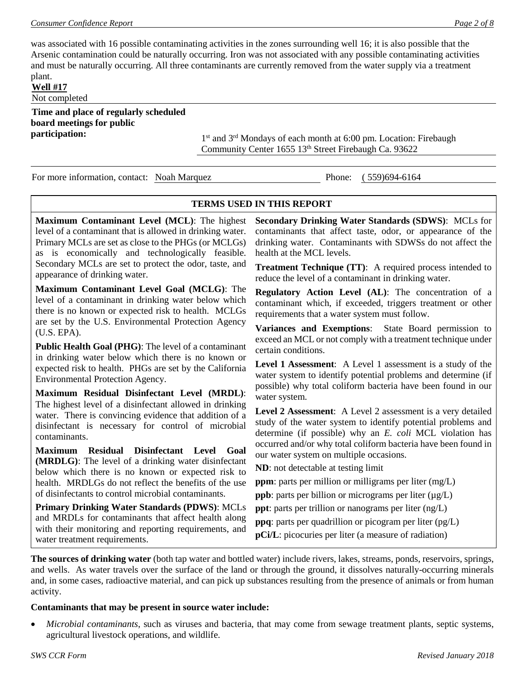was associated with 16 possible contaminating activities in the zones surrounding well 16; it is also possible that the Arsenic contamination could be naturally occurring. Iron was not associated with any possible contaminating activities and must be naturally occurring. All three contaminants are currently removed from the water supply via a treatment plant.

**Well #17**

Not completed

**Time and place of regularly scheduled board meetings for public** 

**participation:** 1st and 3<sup>rd</sup> Mondays of each month at 6:00 pm. Location: Firebaugh Community Center 1655 13th Street Firebaugh Ca. 93622

For more information, contact: Noah Marquez Phone: (559)694-6164

#### **TERMS USED IN THIS REPORT**

**Maximum Contaminant Level (MCL)**: The highest level of a contaminant that is allowed in drinking water. Primary MCLs are set as close to the PHGs (or MCLGs) as is economically and technologically feasible. Secondary MCLs are set to protect the odor, taste, and appearance of drinking water.

**Maximum Contaminant Level Goal (MCLG)**: The level of a contaminant in drinking water below which there is no known or expected risk to health. MCLGs are set by the U.S. Environmental Protection Agency (U.S. EPA).

**Public Health Goal (PHG)**: The level of a contaminant in drinking water below which there is no known or expected risk to health. PHGs are set by the California Environmental Protection Agency.

**Maximum Residual Disinfectant Level (MRDL)**: The highest level of a disinfectant allowed in drinking water. There is convincing evidence that addition of a disinfectant is necessary for control of microbial contaminants.

**Maximum Residual Disinfectant Level Goal (MRDLG)**: The level of a drinking water disinfectant below which there is no known or expected risk to health. MRDLGs do not reflect the benefits of the use of disinfectants to control microbial contaminants.

**Primary Drinking Water Standards (PDWS)**: MCLs and MRDLs for contaminants that affect health along with their monitoring and reporting requirements, and water treatment requirements.

**Secondary Drinking Water Standards (SDWS)**:MCLs for contaminants that affect taste, odor, or appearance of the drinking water. Contaminants with SDWSs do not affect the health at the MCL levels.

**Treatment Technique (TT)**: A required process intended to reduce the level of a contaminant in drinking water.

**Regulatory Action Level (AL)**: The concentration of a contaminant which, if exceeded, triggers treatment or other requirements that a water system must follow.

**Variances and Exemptions**: State Board permission to exceed an MCL or not comply with a treatment technique under certain conditions.

**Level 1 Assessment**: A Level 1 assessment is a study of the water system to identify potential problems and determine (if possible) why total coliform bacteria have been found in our water system.

**Level 2 Assessment**: A Level 2 assessment is a very detailed study of the water system to identify potential problems and determine (if possible) why an *E. coli* MCL violation has occurred and/or why total coliform bacteria have been found in our water system on multiple occasions.

**ND**: not detectable at testing limit

**ppm**: parts per million or milligrams per liter (mg/L)

**ppb**: parts per billion or micrograms per liter  $(\mu g/L)$ 

**ppt**: parts per trillion or nanograms per liter (ng/L)

**ppq**: parts per quadrillion or picogram per liter (pg/L)

**pCi/L**: picocuries per liter (a measure of radiation)

**The sources of drinking water** (both tap water and bottled water) include rivers, lakes, streams, ponds, reservoirs, springs, and wells. As water travels over the surface of the land or through the ground, it dissolves naturally-occurring minerals and, in some cases, radioactive material, and can pick up substances resulting from the presence of animals or from human activity.

#### **Contaminants that may be present in source water include:**

• *Microbial contaminants*, such as viruses and bacteria, that may come from sewage treatment plants, septic systems, agricultural livestock operations, and wildlife.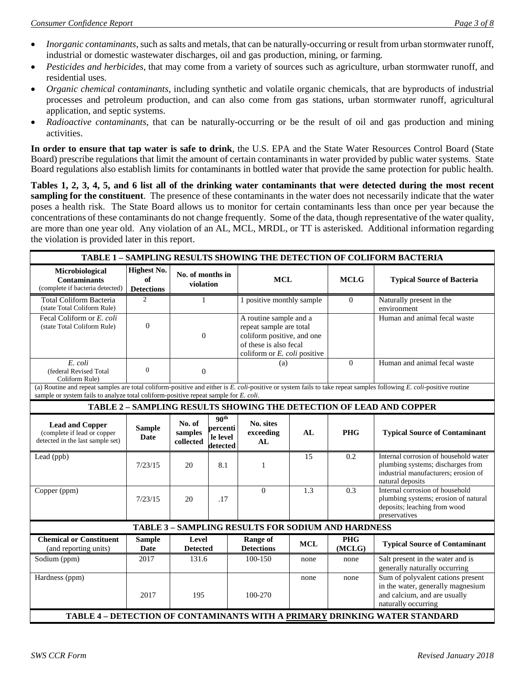- *Inorganic contaminants*, such as salts and metals, that can be naturally-occurring or result from urban stormwater runoff, industrial or domestic wastewater discharges, oil and gas production, mining, or farming.
- *Pesticides and herbicides*, that may come from a variety of sources such as agriculture, urban stormwater runoff, and residential uses.
- *Organic chemical contaminants*, including synthetic and volatile organic chemicals, that are byproducts of industrial processes and petroleum production, and can also come from gas stations, urban stormwater runoff, agricultural application, and septic systems.
- *Radioactive contaminants*, that can be naturally-occurring or be the result of oil and gas production and mining activities.

**In order to ensure that tap water is safe to drink**, the U.S. EPA and the State Water Resources Control Board (State Board) prescribe regulations that limit the amount of certain contaminants in water provided by public water systems. State Board regulations also establish limits for contaminants in bottled water that provide the same protection for public health.

**Tables 1, 2, 3, 4, 5, and 6 list all of the drinking water contaminants that were detected during the most recent sampling for the constituent**. The presence of these contaminants in the water does not necessarily indicate that the water poses a health risk. The State Board allows us to monitor for certain contaminants less than once per year because the concentrations of these contaminants do not change frequently. Some of the data, though representative of the water quality, are more than one year old. Any violation of an AL, MCL, MRDL, or TT is asterisked. Additional information regarding the violation is provided later in this report.

| TABLE 1 - SAMPLING RESULTS SHOWING THE DETECTION OF COLIFORM BACTERIA                                                                                                                                                                                       |                                               |                                |                                                      |                                                                                                                                           |            |                      |                                                                                                                                        |
|-------------------------------------------------------------------------------------------------------------------------------------------------------------------------------------------------------------------------------------------------------------|-----------------------------------------------|--------------------------------|------------------------------------------------------|-------------------------------------------------------------------------------------------------------------------------------------------|------------|----------------------|----------------------------------------------------------------------------------------------------------------------------------------|
| Microbiological<br><b>Contaminants</b><br>(complete if bacteria detected)                                                                                                                                                                                   | <b>Highest No.</b><br>of<br><b>Detections</b> | No. of months in<br>violation  |                                                      | <b>MCL</b>                                                                                                                                |            | <b>MCLG</b>          | <b>Typical Source of Bacteria</b>                                                                                                      |
| <b>Total Coliform Bacteria</b><br>(state Total Coliform Rule)                                                                                                                                                                                               | 2                                             | $\mathbf{1}$                   |                                                      | 1 positive monthly sample                                                                                                                 |            | $\mathbf{0}$         | Naturally present in the<br>environment                                                                                                |
| Fecal Coliform or E. coli<br>(state Total Coliform Rule)                                                                                                                                                                                                    | $\overline{0}$                                | $\theta$                       |                                                      | A routine sample and a<br>repeat sample are total<br>coliform positive, and one<br>of these is also fecal<br>coliform or E. coli positive |            |                      | Human and animal fecal waste                                                                                                           |
| E. coli<br>(federal Revised Total<br>Coliform Rule)                                                                                                                                                                                                         | $\overline{0}$                                | $\mathbf{0}$                   |                                                      | (a)                                                                                                                                       |            | $\theta$             | Human and animal fecal waste                                                                                                           |
| (a) Routine and repeat samples are total coliform-positive and either is E. coli-positive or system fails to take repeat samples following E. coli-positive routine<br>sample or system fails to analyze total coliform-positive repeat sample for E. coli. |                                               |                                |                                                      |                                                                                                                                           |            |                      |                                                                                                                                        |
|                                                                                                                                                                                                                                                             |                                               |                                |                                                      |                                                                                                                                           |            |                      | TABLE 2 - SAMPLING RESULTS SHOWING THE DETECTION OF LEAD AND COPPER                                                                    |
| <b>Lead and Copper</b><br>(complete if lead or copper<br>detected in the last sample set)                                                                                                                                                                   | <b>Sample</b><br><b>Date</b>                  | No. of<br>samples<br>collected | 90 <sup>th</sup><br>percenti<br>le level<br>detected | No. sites<br>exceeding<br>AL                                                                                                              | AL         | <b>PHG</b>           | <b>Typical Source of Contaminant</b>                                                                                                   |
| Lead (ppb)                                                                                                                                                                                                                                                  | 7/23/15                                       | 20                             | 8.1                                                  | 1                                                                                                                                         | 15         | 0.2                  | Internal corrosion of household water<br>plumbing systems; discharges from<br>industrial manufacturers; erosion of<br>natural deposits |
| Copper (ppm)                                                                                                                                                                                                                                                | 7/23/15                                       | 20                             | .17                                                  | $\Omega$                                                                                                                                  | 1.3        | 0.3                  | Internal corrosion of household<br>plumbing systems; erosion of natural<br>deposits; leaching from wood<br>preservatives               |
|                                                                                                                                                                                                                                                             |                                               |                                |                                                      | <b>TABLE 3 - SAMPLING RESULTS FOR SODIUM AND HARDNESS</b>                                                                                 |            |                      |                                                                                                                                        |
| <b>Chemical or Constituent</b><br>(and reporting units)                                                                                                                                                                                                     | <b>Sample</b><br><b>Date</b>                  | Level<br><b>Detected</b>       |                                                      | <b>Range of</b><br><b>Detections</b>                                                                                                      | <b>MCL</b> | <b>PHG</b><br>(MCLG) | <b>Typical Source of Contaminant</b>                                                                                                   |
| Sodium (ppm)                                                                                                                                                                                                                                                | 2017                                          | 131.6                          |                                                      | 100-150                                                                                                                                   | none       | none                 | Salt present in the water and is<br>generally naturally occurring                                                                      |
| Hardness (ppm)                                                                                                                                                                                                                                              | 2017                                          | 195                            |                                                      | 100-270                                                                                                                                   | none       | none                 | Sum of polyvalent cations present<br>in the water, generally magnesium<br>and calcium, and are usually<br>naturally occurring          |
|                                                                                                                                                                                                                                                             |                                               |                                |                                                      |                                                                                                                                           |            |                      | TABLE 4 - DETECTION OF CONTAMINANTS WITH A PRIMARY DRINKING WATER STANDARD                                                             |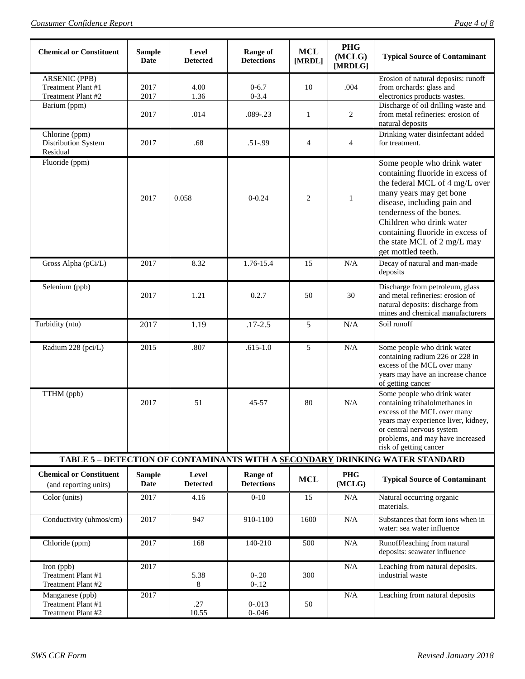| <b>Chemical or Constituent</b>                                   | <b>Sample</b><br><b>Date</b> | Level<br><b>Detected</b> | Range of<br><b>Detections</b> | <b>MCL</b><br>[MRDL] | <b>PHG</b><br>(MCLG)<br>[MRDLG] | <b>Typical Source of Contaminant</b>                                                                                                                                                                                                                                                                         |
|------------------------------------------------------------------|------------------------------|--------------------------|-------------------------------|----------------------|---------------------------------|--------------------------------------------------------------------------------------------------------------------------------------------------------------------------------------------------------------------------------------------------------------------------------------------------------------|
| <b>ARSENIC (PPB)</b><br>Treatment Plant #1<br>Treatment Plant #2 | 2017<br>2017                 | 4.00<br>1.36             | $0 - 6.7$<br>$0 - 3.4$        | 10                   | .004                            | Erosion of natural deposits: runoff<br>from orchards: glass and<br>electronics products wastes.                                                                                                                                                                                                              |
| Barium (ppm)                                                     | 2017                         | .014                     | .089-.23                      | 1                    | 2                               | Discharge of oil drilling waste and<br>from metal refineries: erosion of<br>natural deposits                                                                                                                                                                                                                 |
| Chlorine (ppm)<br>Distribution System<br>Residual                | 2017                         | .68                      | $.51 - .99$                   | $\overline{4}$       | $\overline{4}$                  | Drinking water disinfectant added<br>for treatment.                                                                                                                                                                                                                                                          |
| Fluoride (ppm)                                                   | 2017                         | 0.058                    | $0 - 0.24$                    | 2                    | 1                               | Some people who drink water<br>containing fluoride in excess of<br>the federal MCL of 4 mg/L over<br>many years may get bone<br>disease, including pain and<br>tenderness of the bones.<br>Children who drink water<br>containing fluoride in excess of<br>the state MCL of 2 mg/L may<br>get mottled teeth. |
| Gross Alpha (pCi/L)                                              | 2017                         | 8.32                     | 1.76-15.4                     | 15                   | N/A                             | Decay of natural and man-made<br>deposits                                                                                                                                                                                                                                                                    |
| Selenium (ppb)                                                   | 2017                         | 1.21                     | 0.2.7                         | 50                   | 30                              | Discharge from petroleum, glass<br>and metal refineries: erosion of<br>natural deposits: discharge from<br>mines and chemical manufacturers                                                                                                                                                                  |
| Turbidity (ntu)                                                  | 2017                         | 1.19                     | $.17 - 2.5$                   | 5                    | N/A                             | Soil runoff                                                                                                                                                                                                                                                                                                  |
| Radium 228 (pci/L)                                               | 2015                         | .807                     | $.615 - 1.0$                  | 5                    | N/A                             | Some people who drink water<br>containing radium 226 or 228 in<br>excess of the MCL over many<br>years may have an increase chance<br>of getting cancer                                                                                                                                                      |
| TTHM (ppb)                                                       | 2017                         | 51                       | 45-57                         | 80                   | N/A                             | Some people who drink water<br>containing trihalolmethanes in<br>excess of the MCL over many<br>years may experience liver, kidney,<br>or central nervous system<br>problems, and may have increased<br>risk of getting cancer                                                                               |
|                                                                  |                              |                          |                               |                      |                                 | TABLE 5 - DETECTION OF CONTAMINANTS WITH A SECONDARY DRINKING WATER STANDARD                                                                                                                                                                                                                                 |
| <b>Chemical or Constituent</b><br>(and reporting units)          | <b>Sample</b><br><b>Date</b> | Level<br><b>Detected</b> | Range of<br><b>Detections</b> | <b>MCL</b>           | <b>PHG</b><br>(MCLG)            | <b>Typical Source of Contaminant</b>                                                                                                                                                                                                                                                                         |
| Color (units)                                                    | 2017                         | 4.16                     | $0 - 10$                      | 15                   | N/A                             | Natural occurring organic<br>materials.                                                                                                                                                                                                                                                                      |
| Conductivity (uhmos/cm)                                          | 2017                         | 947                      | 910-1100                      | 1600                 | N/A                             | Substances that form ions when in<br>water: sea water influence                                                                                                                                                                                                                                              |
| Chloride (ppm)                                                   | 2017                         | 168                      | 140-210                       | 500                  | $\rm N/A$                       | Runoff/leaching from natural<br>deposits: seawater influence                                                                                                                                                                                                                                                 |
| Iron (ppb)<br>Treatment Plant #1<br>Treatment Plant #2           | 2017                         | 5.38<br>8                | $0 - 0.20$<br>$0 - 12$        | 300                  | N/A                             | Leaching from natural deposits.<br>industrial waste                                                                                                                                                                                                                                                          |
| Manganese (ppb)<br>Treatment Plant #1<br>Treatment Plant #2      | 2017                         | .27<br>10.55             | $0 - 013$<br>$0 - 0.046$      | 50                   | N/A                             | Leaching from natural deposits                                                                                                                                                                                                                                                                               |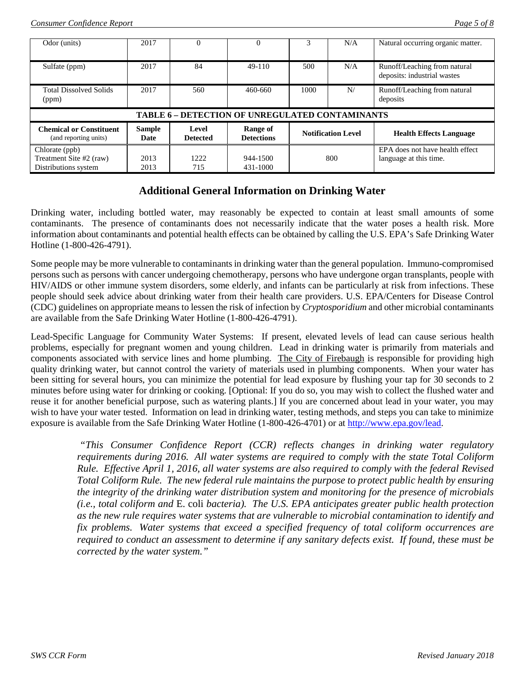| Odor (units)                                            | 2017                  |                          | $\Omega$                      |      | N/A                       | Natural occurring organic matter.                           |  |
|---------------------------------------------------------|-----------------------|--------------------------|-------------------------------|------|---------------------------|-------------------------------------------------------------|--|
| Sulfate (ppm)                                           | 2017                  | 84                       | 49-110                        | 500  | N/A                       | Runoff/Leaching from natural<br>deposits: industrial wastes |  |
| <b>Total Dissolved Solids</b><br>(ppm)                  | 2017                  | 560                      | 460-660                       | 1000 | N/                        | Runoff/Leaching from natural<br>deposits                    |  |
| <b>TABLE 6 - DETECTION OF UNREGULATED CONTAMINANTS</b>  |                       |                          |                               |      |                           |                                                             |  |
| <b>Chemical or Constituent</b><br>(and reporting units) | <b>Sample</b><br>Date | Level<br><b>Detected</b> | Range of<br><b>Detections</b> |      | <b>Notification Level</b> | <b>Health Effects Language</b>                              |  |
| Chlorate (ppb)                                          |                       |                          |                               |      |                           | EPA does not have health effect                             |  |
| Treatment Site #2 (raw)                                 | 2013                  | 1222                     | 944-1500                      |      | 800                       | language at this time.                                      |  |
| Distributions system                                    | 2013                  | 715                      | 431-1000                      |      |                           |                                                             |  |

# **Additional General Information on Drinking Water**

Drinking water, including bottled water, may reasonably be expected to contain at least small amounts of some contaminants. The presence of contaminants does not necessarily indicate that the water poses a health risk. More information about contaminants and potential health effects can be obtained by calling the U.S. EPA's Safe Drinking Water Hotline (1-800-426-4791).

Some people may be more vulnerable to contaminants in drinking water than the general population. Immuno-compromised persons such as persons with cancer undergoing chemotherapy, persons who have undergone organ transplants, people with HIV/AIDS or other immune system disorders, some elderly, and infants can be particularly at risk from infections. These people should seek advice about drinking water from their health care providers. U.S. EPA/Centers for Disease Control (CDC) guidelines on appropriate means to lessen the risk of infection by *Cryptosporidium* and other microbial contaminants are available from the Safe Drinking Water Hotline (1-800-426-4791).

Lead-Specific Language for Community Water Systems: If present, elevated levels of lead can cause serious health problems, especially for pregnant women and young children. Lead in drinking water is primarily from materials and components associated with service lines and home plumbing. The City of Firebaugh is responsible for providing high quality drinking water, but cannot control the variety of materials used in plumbing components. When your water has been sitting for several hours, you can minimize the potential for lead exposure by flushing your tap for 30 seconds to 2 minutes before using water for drinking or cooking. [Optional: If you do so, you may wish to collect the flushed water and reuse it for another beneficial purpose, such as watering plants.] If you are concerned about lead in your water, you may wish to have your water tested. Information on lead in drinking water, testing methods, and steps you can take to minimize exposure is available from the Safe Drinking Water Hotline (1-800-426-4701) or at [http://www.epa.gov/lead.](http://www.epa.gov/lead)

*"This Consumer Confidence Report (CCR) reflects changes in drinking water regulatory requirements during 2016. All water systems are required to comply with the state Total Coliform Rule. Effective April 1, 2016, all water systems are also required to comply with the federal Revised Total Coliform Rule. The new federal rule maintains the purpose to protect public health by ensuring the integrity of the drinking water distribution system and monitoring for the presence of microbials (i.e., total coliform and* E. coli *bacteria). The U.S. EPA anticipates greater public health protection as the new rule requires water systems that are vulnerable to microbial contamination to identify and fix problems. Water systems that exceed a specified frequency of total coliform occurrences are required to conduct an assessment to determine if any sanitary defects exist. If found, these must be corrected by the water system."*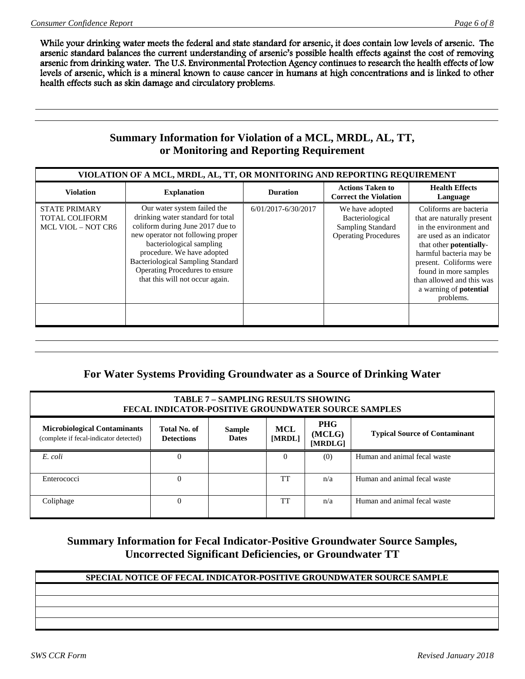While your drinking water meets the federal and state standard for arsenic, it does contain low levels of arsenic. The arsenic standard balances the current understanding of arsenic's possible health effects against the cost of removing arsenic from drinking water. The U.S. Environmental Protection Agency continues to research the health effects of low levels of arsenic, which is a mineral known to cause cancer in humans at high concentrations and is linked to other health effects such as skin damage and circulatory problems.

# **Summary Information for Violation of a MCL, MRDL, AL, TT, or Monitoring and Reporting Requirement**

| VIOLATION OF A MCL, MRDL, AL, TT, OR MONITORING AND REPORTING REQUIREMENT  |                                                                                                                                                                                                                                                                                                                      |                     |                                                                                               |                                                                                                                                                                                                                                                                                                         |  |  |  |
|----------------------------------------------------------------------------|----------------------------------------------------------------------------------------------------------------------------------------------------------------------------------------------------------------------------------------------------------------------------------------------------------------------|---------------------|-----------------------------------------------------------------------------------------------|---------------------------------------------------------------------------------------------------------------------------------------------------------------------------------------------------------------------------------------------------------------------------------------------------------|--|--|--|
| <b>Violation</b>                                                           | <b>Explanation</b>                                                                                                                                                                                                                                                                                                   | <b>Duration</b>     | <b>Actions Taken to</b><br><b>Correct the Violation</b>                                       | <b>Health Effects</b><br>Language                                                                                                                                                                                                                                                                       |  |  |  |
| <b>STATE PRIMARY</b><br><b>TOTAL COLIFORM</b><br><b>MCL VIOL - NOT CR6</b> | Our water system failed the<br>drinking water standard for total<br>coliform during June 2017 due to<br>new operator not following proper<br>bacteriological sampling<br>procedure. We have adopted<br><b>Bacteriological Sampling Standard</b><br>Operating Procedures to ensure<br>that this will not occur again. | 6/01/2017-6/30/2017 | We have adopted<br>Bacteriological<br><b>Sampling Standard</b><br><b>Operating Procedures</b> | Coliforms are bacteria<br>that are naturally present<br>in the environment and<br>are used as an indicator<br>that other <b>potentially</b> -<br>harmful bacteria may be<br>present. Coliforms were<br>found in more samples<br>than allowed and this was<br>a warning of <b>potential</b><br>problems. |  |  |  |

# **For Water Systems Providing Groundwater as a Source of Drinking Water**

| <b>TABLE 7 - SAMPLING RESULTS SHOWING</b><br><b>FECAL INDICATOR-POSITIVE GROUNDWATER SOURCE SAMPLES</b>                                                                                                                                                |          |  |          |     |                              |  |  |
|--------------------------------------------------------------------------------------------------------------------------------------------------------------------------------------------------------------------------------------------------------|----------|--|----------|-----|------------------------------|--|--|
| <b>PHG</b><br><b>Microbiological Contaminants</b><br><b>MCL</b><br>Total No. of<br><b>Sample</b><br><b>Typical Source of Contaminant</b><br>(MCLG)<br><b>Dates</b><br>[MRDL]<br>(complete if fecal-indicator detected)<br><b>Detections</b><br>[MRDLG] |          |  |          |     |                              |  |  |
| E. coli                                                                                                                                                                                                                                                | 0        |  | $\Omega$ | (0) | Human and animal fecal waste |  |  |
| Enterococci                                                                                                                                                                                                                                            | $\Omega$ |  | TT       | n/a | Human and animal fecal waste |  |  |
| Coliphage                                                                                                                                                                                                                                              | $\Omega$ |  | TT       | n/a | Human and animal fecal waste |  |  |

# **Summary Information for Fecal Indicator-Positive Groundwater Source Samples, Uncorrected Significant Deficiencies, or Groundwater TT**

## **SPECIAL NOTICE OF FECAL INDICATOR-POSITIVE GROUNDWATER SOURCE SAMPLE**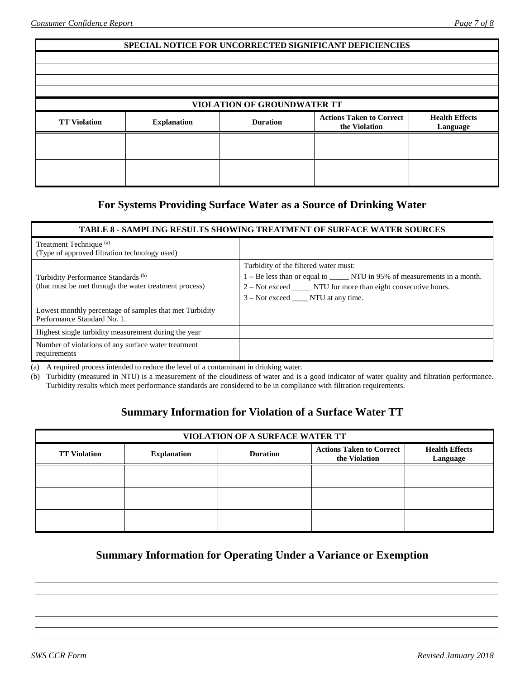#### **SPECIAL NOTICE FOR UNCORRECTED SIGNIFICANT DEFICIENCIES**

|                     |                    | <b>VIOLATION OF GROUNDWATER TT</b> |                                                  |                                   |
|---------------------|--------------------|------------------------------------|--------------------------------------------------|-----------------------------------|
| <b>TT Violation</b> | <b>Explanation</b> | <b>Duration</b>                    | <b>Actions Taken to Correct</b><br>the Violation | <b>Health Effects</b><br>Language |
|                     |                    |                                    |                                                  |                                   |
|                     |                    |                                    |                                                  |                                   |

# **For Systems Providing Surface Water as a Source of Drinking Water**

#### **TABLE 8 - SAMPLING RESULTS SHOWING TREATMENT OF SURFACE WATER SOURCES**

| Treatment Technique <sup>(a)</sup><br>(Type of approved filtration technology used)                      |                                                                                                                                                                                                                                |
|----------------------------------------------------------------------------------------------------------|--------------------------------------------------------------------------------------------------------------------------------------------------------------------------------------------------------------------------------|
| Turbidity Performance Standards <sup>(b)</sup><br>(that must be met through the water treatment process) | Turbidity of the filtered water must:<br>1 – Be less than or equal to _______ NTU in 95% of measurements in a month.<br>2 – Not exceed _______ NTU for more than eight consecutive hours.<br>$3 - Not exceed$ NTU at any time. |
| Lowest monthly percentage of samples that met Turbidity<br>Performance Standard No. 1.                   |                                                                                                                                                                                                                                |
| Highest single turbidity measurement during the year                                                     |                                                                                                                                                                                                                                |
| Number of violations of any surface water treatment<br>requirements                                      |                                                                                                                                                                                                                                |

(a) A required process intended to reduce the level of a contaminant in drinking water.

(b) Turbidity (measured in NTU) is a measurement of the cloudiness of water and is a good indicator of water quality and filtration performance. Turbidity results which meet performance standards are considered to be in compliance with filtration requirements.

# **Summary Information for Violation of a Surface Water TT**

| VIOLATION OF A SURFACE WATER TT |                    |                 |                                                  |                                   |  |  |  |
|---------------------------------|--------------------|-----------------|--------------------------------------------------|-----------------------------------|--|--|--|
| <b>TT Violation</b>             | <b>Explanation</b> | <b>Duration</b> | <b>Actions Taken to Correct</b><br>the Violation | <b>Health Effects</b><br>Language |  |  |  |
|                                 |                    |                 |                                                  |                                   |  |  |  |
|                                 |                    |                 |                                                  |                                   |  |  |  |
|                                 |                    |                 |                                                  |                                   |  |  |  |

# **Summary Information for Operating Under a Variance or Exemption**